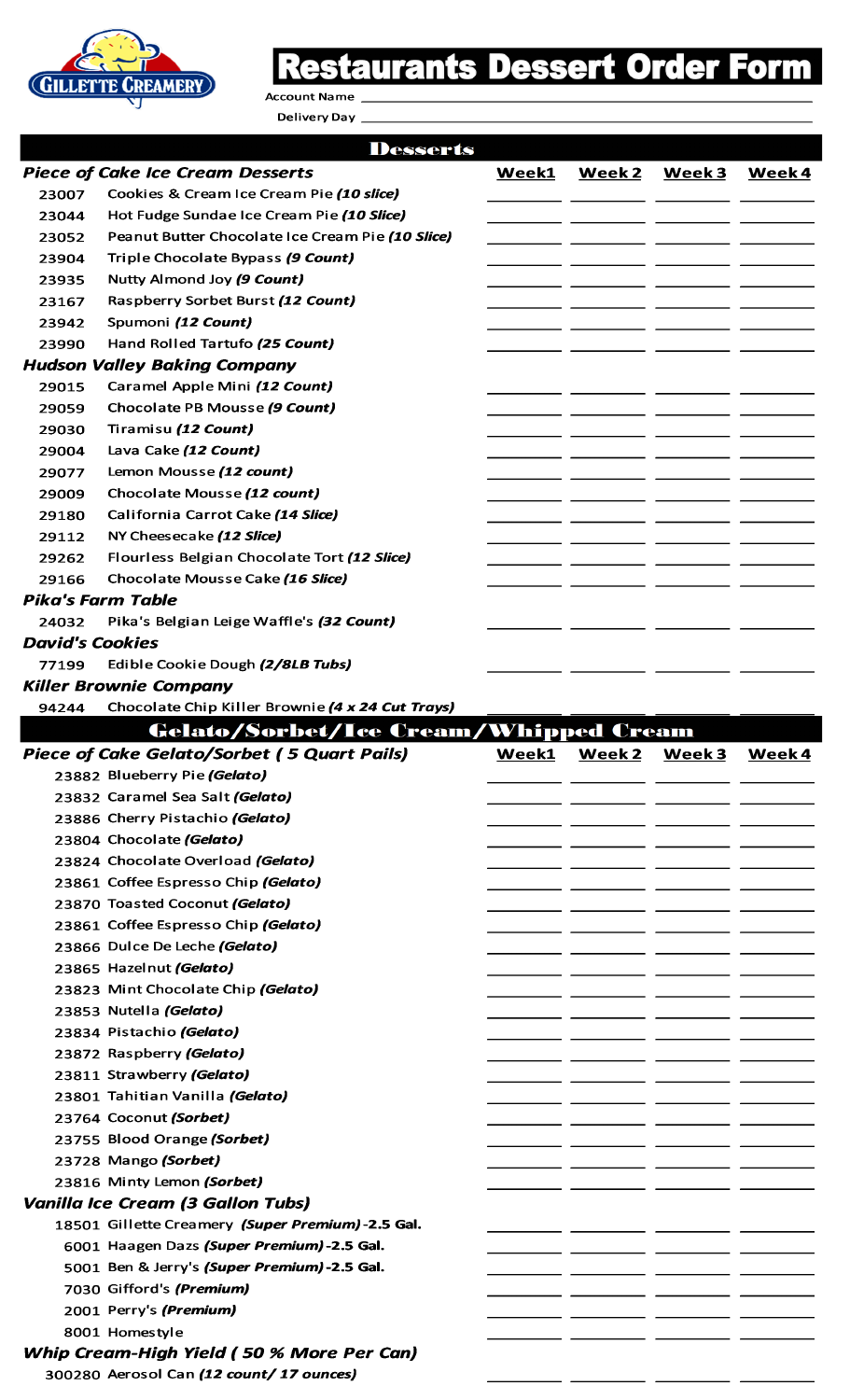

## **Restaurants Dessert Order Form**

**Account Name** 

Delivery Day \_\_

|                        | <b>Desserts</b>                                    |       |        |        |       |
|------------------------|----------------------------------------------------|-------|--------|--------|-------|
|                        | <b>Piece of Cake Ice Cream Desserts</b>            | Week1 | Week 2 | Week 3 | Week4 |
| 23007                  | Cookies & Cream Ice Cream Pie (10 slice)           |       |        |        |       |
| 23044                  | Hot Fudge Sundae Ice Cream Pie (10 Slice)          |       |        |        |       |
| 23052                  | Peanut Butter Chocolate Ice Cream Pie (10 Slice)   |       |        |        |       |
| 23904                  | Triple Chocolate Bypass (9 Count)                  |       |        |        |       |
| 23935                  | Nutty Almond Joy (9 Count)                         |       |        |        |       |
| 23167                  | Raspberry Sorbet Burst (12 Count)                  |       |        |        |       |
| 23942                  | Spumoni (12 Count)                                 |       |        |        |       |
| 23990                  | Hand Rolled Tartufo (25 Count)                     |       |        |        |       |
|                        | <b>Hudson Valley Baking Company</b>                |       |        |        |       |
| 29015                  | Caramel Apple Mini (12 Count)                      |       |        |        |       |
| 29059                  | Chocolate PB Mousse (9 Count)                      |       |        |        |       |
| 29030                  | Tiramisu (12 Count)                                |       |        |        |       |
| 29004                  | Lava Cake (12 Count)                               |       |        |        |       |
| 29077                  | Lemon Mousse (12 count)                            |       |        |        |       |
| 29009                  | Chocolate Mousse (12 count)                        |       |        |        |       |
| 29180                  | California Carrot Cake (14 Slice)                  |       |        |        |       |
|                        |                                                    |       |        |        |       |
| 29112                  | NY Cheesecake (12 Slice)                           |       |        |        |       |
| 29262                  | Flourless Belgian Chocolate Tort (12 Slice)        |       |        |        |       |
| 29166                  | Chocolate Mousse Cake (16 Slice)                   |       |        |        |       |
|                        | <b>Pika's Farm Table</b>                           |       |        |        |       |
| 24032                  | Pika's Belgian Leige Waffle's (32 Count)           |       |        |        |       |
| <b>David's Cookies</b> |                                                    |       |        |        |       |
| 77199                  | Edible Cookie Dough (2/8LB Tubs)                   |       |        |        |       |
|                        | <b>Killer Brownie Company</b>                      |       |        |        |       |
| 94244                  | Chocolate Chip Killer Brownie (4 x 24 Cut Trays)   |       |        |        |       |
|                        | Gelato/Sorbet/Ice Cream/Whipped Cream              |       |        |        |       |
|                        | <b>Piece of Cake Gelato/Sorbet (5 Quart Pails)</b> | Week1 | Week 2 | Week 3 | Week4 |
|                        | 23882 Blueberry Pie (Gelato)                       |       |        |        |       |
|                        | 23832 Caramel Sea Salt (Gelato)                    |       |        |        |       |
|                        | 23886 Cherry Pistachio (Gelato)                    |       |        |        |       |
|                        | 23804 Chocolate (Gelato)                           |       |        |        |       |
|                        | 23824 Chocolate Overload (Gelato)                  |       |        |        |       |
|                        | 23861 Coffee Espresso Chip (Gelato)                |       |        |        |       |
|                        | 23870 Toasted Coconut (Gelato)                     |       |        |        |       |
|                        | 23861 Coffee Espresso Chip (Gelato)                |       |        |        |       |
|                        | 23866 Dulce De Leche (Gelato)                      |       |        |        |       |
|                        | 23865 Hazelnut (Gelato)                            |       |        |        |       |
|                        | 23823 Mint Chocolate Chip (Gelato)                 |       |        |        |       |
|                        | 23853 Nutella (Gelato)                             |       |        |        |       |
|                        | 23834 Pistachio (Gelato)                           |       |        |        |       |
|                        | 23872 Raspberry (Gelato)                           |       |        |        |       |
|                        |                                                    |       |        |        |       |
|                        |                                                    |       |        |        |       |
|                        | 23811 Strawberry (Gelato)                          |       |        |        |       |
|                        | 23801 Tahitian Vanilla (Gelato)                    |       |        |        |       |
|                        | 23764 Coconut (Sorbet)                             |       |        |        |       |
|                        | 23755 Blood Orange (Sorbet)                        |       |        |        |       |
|                        | 23728 Mango (Sorbet)                               |       |        |        |       |
|                        | 23816 Minty Lemon (Sorbet)                         |       |        |        |       |
|                        | <b>Vanilla Ice Cream (3 Gallon Tubs)</b>           |       |        |        |       |
|                        | 18501 Gillette Creamery (Super Premium)-2.5 Gal.   |       |        |        |       |
|                        | 6001 Haagen Dazs (Super Premium)-2.5 Gal.          |       |        |        |       |
|                        | 5001 Ben & Jerry's (Super Premium)-2.5 Gal.        |       |        |        |       |
|                        | 7030 Gifford's (Premium)                           |       |        |        |       |
|                        | 2001 Perry's (Premium)                             |       |        |        |       |
|                        | 8001 Homestyle                                     |       |        |        |       |
|                        | Whip Cream-High Yield (50 % More Per Can)          |       |        |        |       |
|                        | 300280 Aerosol Can (12 count/17 ounces)            |       |        |        |       |